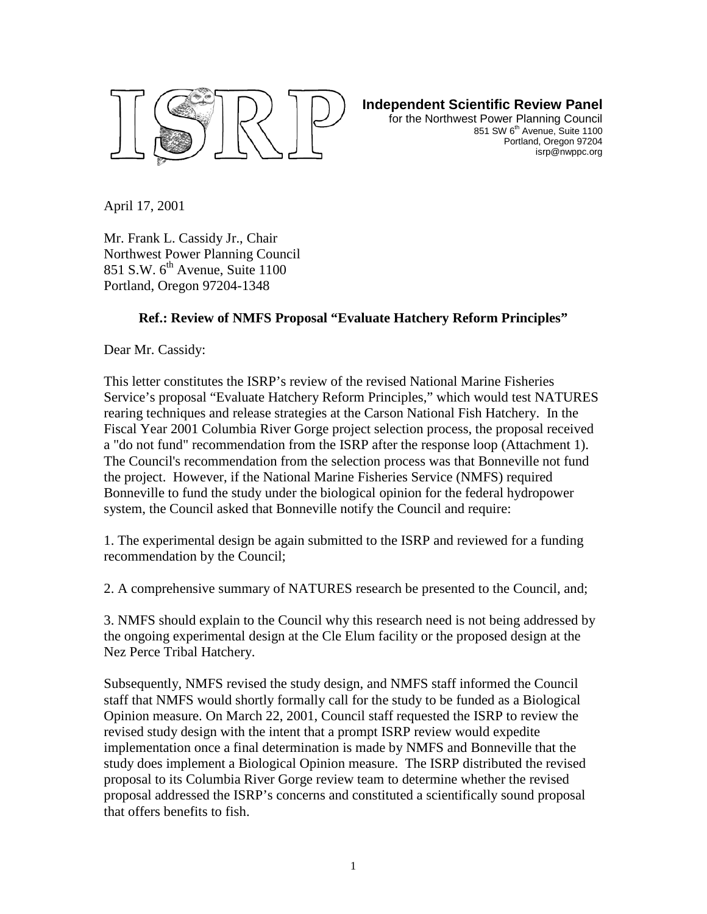

**Independent Scientific Review Panel**

for the Northwest Power Planning Council 851 SW 6<sup>th</sup> Avenue, Suite 1100 Portland, Oregon 97204 isrp@nwppc.org

April 17, 2001

Mr. Frank L. Cassidy Jr., Chair Northwest Power Planning Council 851 S.W.  $6<sup>th</sup>$  Avenue, Suite 1100 Portland, Oregon 97204-1348

## **Ref.: Review of NMFS Proposal "Evaluate Hatchery Reform Principles"**

Dear Mr. Cassidy:

This letter constitutes the ISRP's review of the revised National Marine Fisheries Service's proposal "Evaluate Hatchery Reform Principles," which would test NATURES rearing techniques and release strategies at the Carson National Fish Hatchery. In the Fiscal Year 2001 Columbia River Gorge project selection process, the proposal received a "do not fund" recommendation from the ISRP after the response loop (Attachment 1). The Council's recommendation from the selection process was that Bonneville not fund the project. However, if the National Marine Fisheries Service (NMFS) required Bonneville to fund the study under the biological opinion for the federal hydropower system, the Council asked that Bonneville notify the Council and require:

1. The experimental design be again submitted to the ISRP and reviewed for a funding recommendation by the Council;

2. A comprehensive summary of NATURES research be presented to the Council, and;

3. NMFS should explain to the Council why this research need is not being addressed by the ongoing experimental design at the Cle Elum facility or the proposed design at the Nez Perce Tribal Hatchery.

Subsequently, NMFS revised the study design, and NMFS staff informed the Council staff that NMFS would shortly formally call for the study to be funded as a Biological Opinion measure. On March 22, 2001, Council staff requested the ISRP to review the revised study design with the intent that a prompt ISRP review would expedite implementation once a final determination is made by NMFS and Bonneville that the study does implement a Biological Opinion measure. The ISRP distributed the revised proposal to its Columbia River Gorge review team to determine whether the revised proposal addressed the ISRP's concerns and constituted a scientifically sound proposal that offers benefits to fish.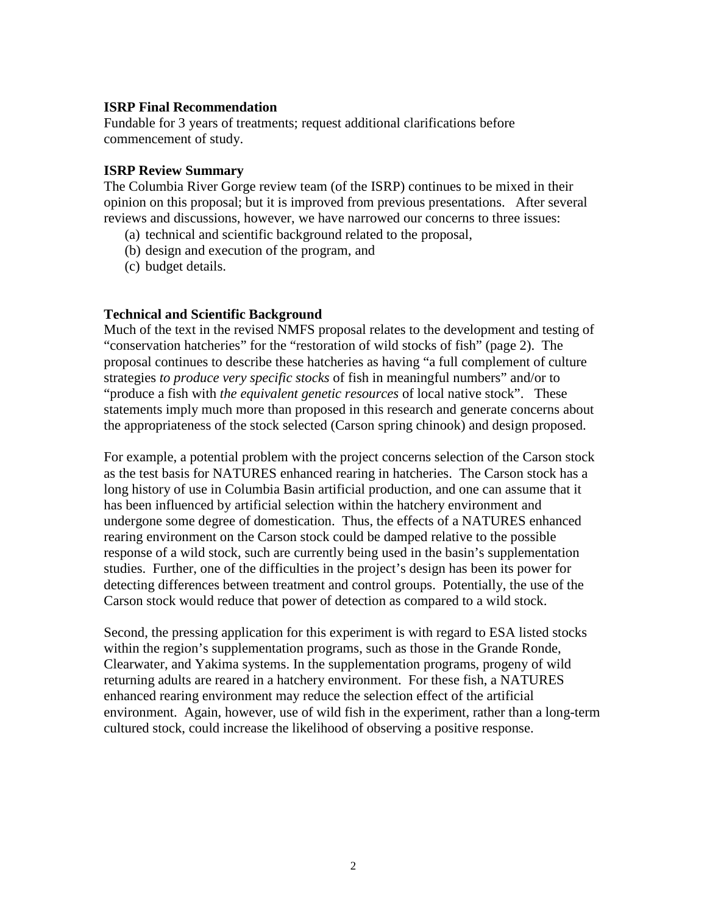### **ISRP Final Recommendation**

Fundable for 3 years of treatments; request additional clarifications before commencement of study.

#### **ISRP Review Summary**

The Columbia River Gorge review team (of the ISRP) continues to be mixed in their opinion on this proposal; but it is improved from previous presentations. After several reviews and discussions, however, we have narrowed our concerns to three issues:

- (a) technical and scientific background related to the proposal,
- (b) design and execution of the program, and
- (c) budget details.

## **Technical and Scientific Background**

Much of the text in the revised NMFS proposal relates to the development and testing of "conservation hatcheries" for the "restoration of wild stocks of fish" (page 2). The proposal continues to describe these hatcheries as having "a full complement of culture strategies *to produce very specific stocks* of fish in meaningful numbers" and/or to "produce a fish with *the equivalent genetic resources* of local native stock". These statements imply much more than proposed in this research and generate concerns about the appropriateness of the stock selected (Carson spring chinook) and design proposed.

For example, a potential problem with the project concerns selection of the Carson stock as the test basis for NATURES enhanced rearing in hatcheries. The Carson stock has a long history of use in Columbia Basin artificial production, and one can assume that it has been influenced by artificial selection within the hatchery environment and undergone some degree of domestication. Thus, the effects of a NATURES enhanced rearing environment on the Carson stock could be damped relative to the possible response of a wild stock, such are currently being used in the basin's supplementation studies. Further, one of the difficulties in the project's design has been its power for detecting differences between treatment and control groups. Potentially, the use of the Carson stock would reduce that power of detection as compared to a wild stock.

Second, the pressing application for this experiment is with regard to ESA listed stocks within the region's supplementation programs, such as those in the Grande Ronde, Clearwater, and Yakima systems. In the supplementation programs, progeny of wild returning adults are reared in a hatchery environment. For these fish, a NATURES enhanced rearing environment may reduce the selection effect of the artificial environment. Again, however, use of wild fish in the experiment, rather than a long-term cultured stock, could increase the likelihood of observing a positive response.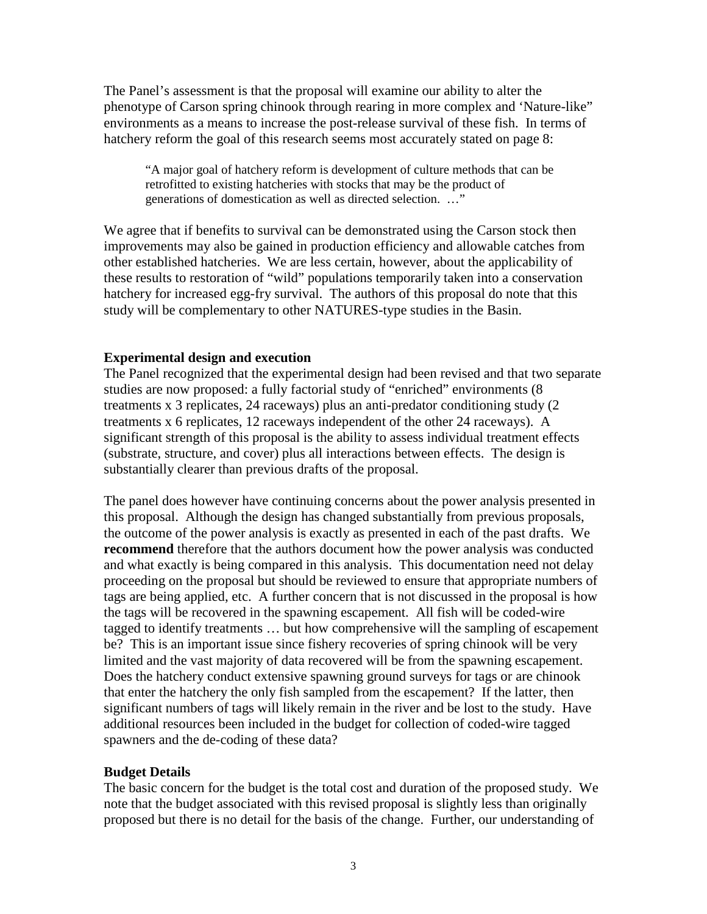The Panel's assessment is that the proposal will examine our ability to alter the phenotype of Carson spring chinook through rearing in more complex and 'Nature-like" environments as a means to increase the post-release survival of these fish. In terms of hatchery reform the goal of this research seems most accurately stated on page 8:

"A major goal of hatchery reform is development of culture methods that can be retrofitted to existing hatcheries with stocks that may be the product of generations of domestication as well as directed selection. …"

We agree that if benefits to survival can be demonstrated using the Carson stock then improvements may also be gained in production efficiency and allowable catches from other established hatcheries. We are less certain, however, about the applicability of these results to restoration of "wild" populations temporarily taken into a conservation hatchery for increased egg-fry survival. The authors of this proposal do note that this study will be complementary to other NATURES-type studies in the Basin.

## **Experimental design and execution**

The Panel recognized that the experimental design had been revised and that two separate studies are now proposed: a fully factorial study of "enriched" environments (8 treatments x 3 replicates, 24 raceways) plus an anti-predator conditioning study (2 treatments x 6 replicates, 12 raceways independent of the other 24 raceways). A significant strength of this proposal is the ability to assess individual treatment effects (substrate, structure, and cover) plus all interactions between effects. The design is substantially clearer than previous drafts of the proposal.

The panel does however have continuing concerns about the power analysis presented in this proposal. Although the design has changed substantially from previous proposals, the outcome of the power analysis is exactly as presented in each of the past drafts. We **recommend** therefore that the authors document how the power analysis was conducted and what exactly is being compared in this analysis. This documentation need not delay proceeding on the proposal but should be reviewed to ensure that appropriate numbers of tags are being applied, etc. A further concern that is not discussed in the proposal is how the tags will be recovered in the spawning escapement. All fish will be coded-wire tagged to identify treatments … but how comprehensive will the sampling of escapement be? This is an important issue since fishery recoveries of spring chinook will be very limited and the vast majority of data recovered will be from the spawning escapement. Does the hatchery conduct extensive spawning ground surveys for tags or are chinook that enter the hatchery the only fish sampled from the escapement? If the latter, then significant numbers of tags will likely remain in the river and be lost to the study. Have additional resources been included in the budget for collection of coded-wire tagged spawners and the de-coding of these data?

#### **Budget Details**

The basic concern for the budget is the total cost and duration of the proposed study. We note that the budget associated with this revised proposal is slightly less than originally proposed but there is no detail for the basis of the change. Further, our understanding of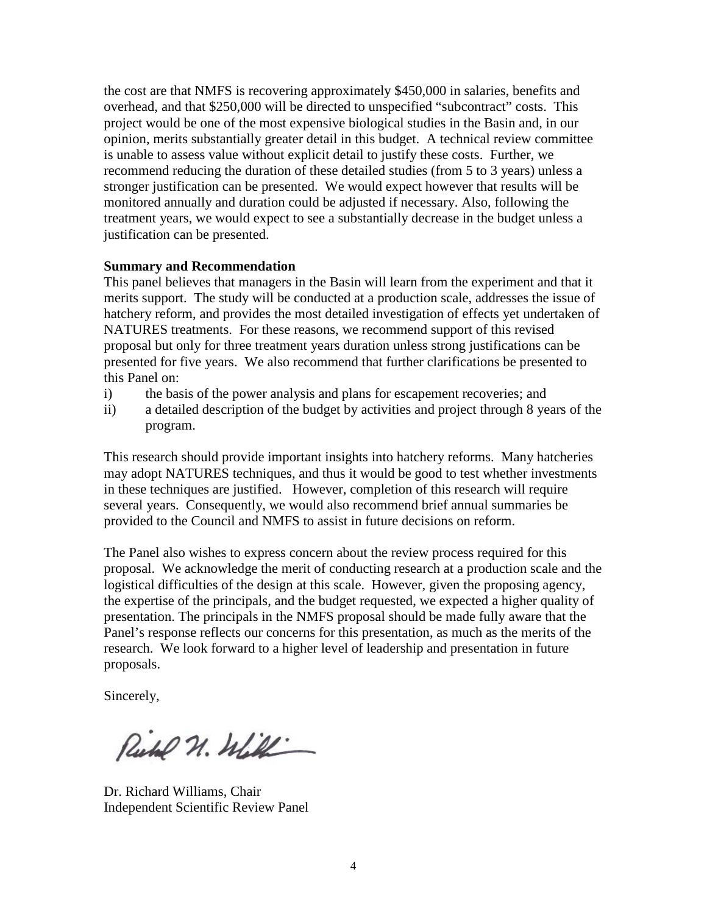the cost are that NMFS is recovering approximately \$450,000 in salaries, benefits and overhead, and that \$250,000 will be directed to unspecified "subcontract" costs. This project would be one of the most expensive biological studies in the Basin and, in our opinion, merits substantially greater detail in this budget. A technical review committee is unable to assess value without explicit detail to justify these costs. Further, we recommend reducing the duration of these detailed studies (from 5 to 3 years) unless a stronger justification can be presented. We would expect however that results will be monitored annually and duration could be adjusted if necessary. Also, following the treatment years, we would expect to see a substantially decrease in the budget unless a justification can be presented.

#### **Summary and Recommendation**

This panel believes that managers in the Basin will learn from the experiment and that it merits support. The study will be conducted at a production scale, addresses the issue of hatchery reform, and provides the most detailed investigation of effects yet undertaken of NATURES treatments. For these reasons, we recommend support of this revised proposal but only for three treatment years duration unless strong justifications can be presented for five years. We also recommend that further clarifications be presented to this Panel on:

- i) the basis of the power analysis and plans for escapement recoveries; and
- ii) a detailed description of the budget by activities and project through 8 years of the program.

This research should provide important insights into hatchery reforms. Many hatcheries may adopt NATURES techniques, and thus it would be good to test whether investments in these techniques are justified. However, completion of this research will require several years. Consequently, we would also recommend brief annual summaries be provided to the Council and NMFS to assist in future decisions on reform.

The Panel also wishes to express concern about the review process required for this proposal. We acknowledge the merit of conducting research at a production scale and the logistical difficulties of the design at this scale. However, given the proposing agency, the expertise of the principals, and the budget requested, we expected a higher quality of presentation. The principals in the NMFS proposal should be made fully aware that the Panel's response reflects our concerns for this presentation, as much as the merits of the research. We look forward to a higher level of leadership and presentation in future proposals.

Sincerely,

Richel N. Will

Dr. Richard Williams, Chair Independent Scientific Review Panel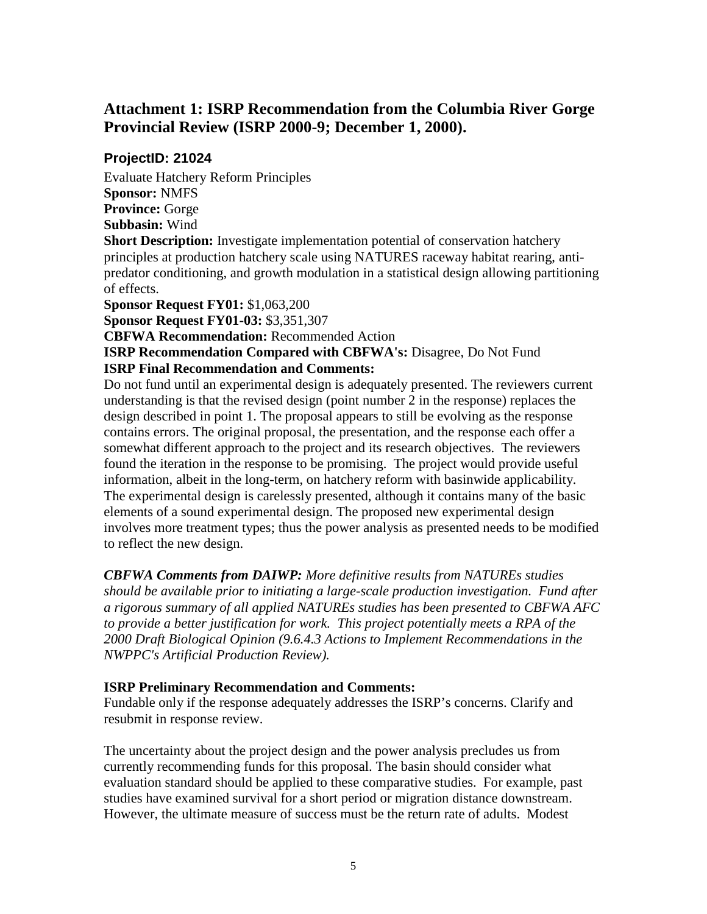# **Attachment 1: ISRP Recommendation from the Columbia River Gorge Provincial Review (ISRP 2000-9; December 1, 2000).**

## **ProjectID: 21024**

Evaluate Hatchery Reform Principles **Sponsor:** NMFS **Province:** Gorge **Subbasin:** Wind **Short Description:** Investigate implementation potential of conservation hatchery principles at production hatchery scale using NATURES raceway habitat rearing, antipredator conditioning, and growth modulation in a statistical design allowing partitioning of effects.

**Sponsor Request FY01:** \$1,063,200

**Sponsor Request FY01-03:** \$3,351,307

**CBFWA Recommendation:** Recommended Action

**ISRP Recommendation Compared with CBFWA's: Disagree, Do Not Fund ISRP Final Recommendation and Comments:** 

Do not fund until an experimental design is adequately presented. The reviewers current understanding is that the revised design (point number 2 in the response) replaces the design described in point 1. The proposal appears to still be evolving as the response contains errors. The original proposal, the presentation, and the response each offer a somewhat different approach to the project and its research objectives. The reviewers found the iteration in the response to be promising. The project would provide useful information, albeit in the long-term, on hatchery reform with basinwide applicability. The experimental design is carelessly presented, although it contains many of the basic elements of a sound experimental design. The proposed new experimental design involves more treatment types; thus the power analysis as presented needs to be modified to reflect the new design.

*CBFWA Comments from DAIWP: More definitive results from NATUREs studies should be available prior to initiating a large-scale production investigation. Fund after a rigorous summary of all applied NATUREs studies has been presented to CBFWA AFC to provide a better justification for work. This project potentially meets a RPA of the 2000 Draft Biological Opinion (9.6.4.3 Actions to Implement Recommendations in the NWPPC's Artificial Production Review).*

## **ISRP Preliminary Recommendation and Comments:**

Fundable only if the response adequately addresses the ISRP's concerns. Clarify and resubmit in response review.

The uncertainty about the project design and the power analysis precludes us from currently recommending funds for this proposal. The basin should consider what evaluation standard should be applied to these comparative studies. For example, past studies have examined survival for a short period or migration distance downstream. However, the ultimate measure of success must be the return rate of adults. Modest